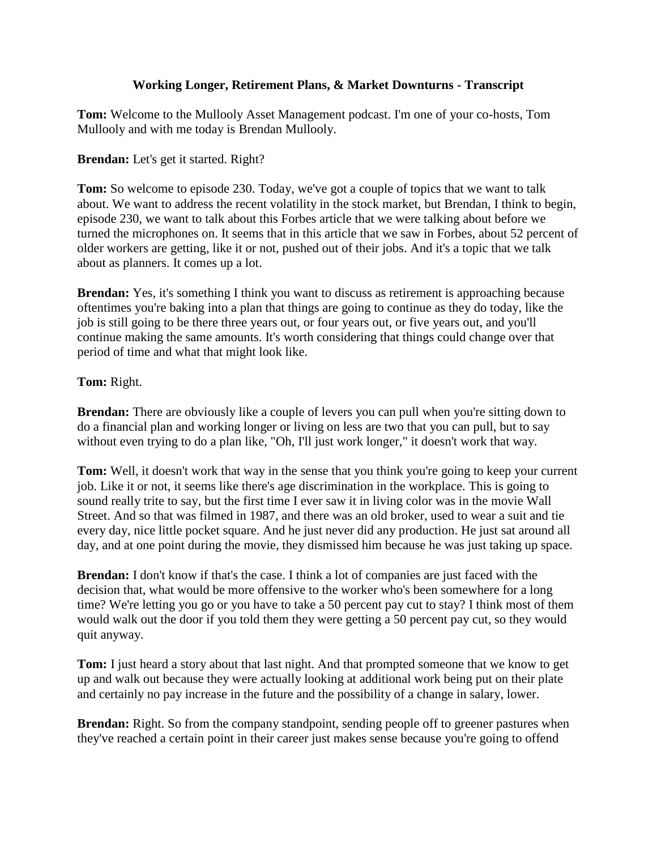## **Working Longer, Retirement Plans, & Market Downturns - Transcript**

**Tom:** Welcome to the Mullooly Asset Management podcast. I'm one of your co-hosts, Tom Mullooly and with me today is Brendan Mullooly.

## **Brendan:** Let's get it started. Right?

**Tom:** So welcome to episode 230. Today, we've got a couple of topics that we want to talk about. We want to address the recent volatility in the stock market, but Brendan, I think to begin, episode 230, we want to talk about this Forbes article that we were talking about before we turned the microphones on. It seems that in this article that we saw in Forbes, about 52 percent of older workers are getting, like it or not, pushed out of their jobs. And it's a topic that we talk about as planners. It comes up a lot.

**Brendan:** Yes, it's something I think you want to discuss as retirement is approaching because oftentimes you're baking into a plan that things are going to continue as they do today, like the job is still going to be there three years out, or four years out, or five years out, and you'll continue making the same amounts. It's worth considering that things could change over that period of time and what that might look like.

## **Tom:** Right.

**Brendan:** There are obviously like a couple of levers you can pull when you're sitting down to do a financial plan and working longer or living on less are two that you can pull, but to say without even trying to do a plan like, "Oh, I'll just work longer," it doesn't work that way.

**Tom:** Well, it doesn't work that way in the sense that you think you're going to keep your current job. Like it or not, it seems like there's age discrimination in the workplace. This is going to sound really trite to say, but the first time I ever saw it in living color was in the movie Wall Street. And so that was filmed in 1987, and there was an old broker, used to wear a suit and tie every day, nice little pocket square. And he just never did any production. He just sat around all day, and at one point during the movie, they dismissed him because he was just taking up space.

**Brendan:** I don't know if that's the case. I think a lot of companies are just faced with the decision that, what would be more offensive to the worker who's been somewhere for a long time? We're letting you go or you have to take a 50 percent pay cut to stay? I think most of them would walk out the door if you told them they were getting a 50 percent pay cut, so they would quit anyway.

**Tom:** I just heard a story about that last night. And that prompted someone that we know to get up and walk out because they were actually looking at additional work being put on their plate and certainly no pay increase in the future and the possibility of a change in salary, lower.

**Brendan:** Right. So from the company standpoint, sending people off to greener pastures when they've reached a certain point in their career just makes sense because you're going to offend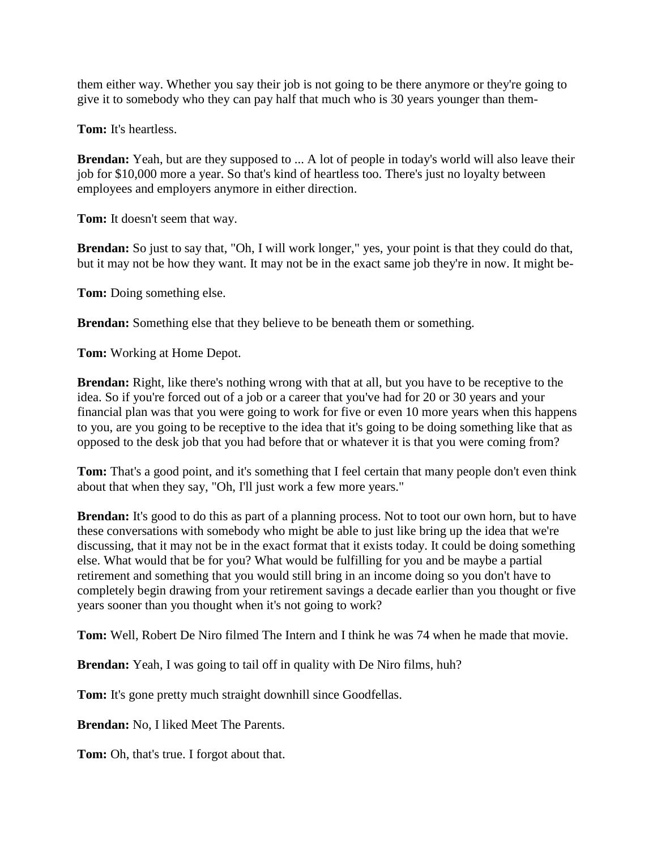them either way. Whether you say their job is not going to be there anymore or they're going to give it to somebody who they can pay half that much who is 30 years younger than them-

**Tom:** It's heartless.

**Brendan:** Yeah, but are they supposed to ... A lot of people in today's world will also leave their job for \$10,000 more a year. So that's kind of heartless too. There's just no loyalty between employees and employers anymore in either direction.

**Tom:** It doesn't seem that way.

**Brendan:** So just to say that, "Oh, I will work longer," yes, your point is that they could do that, but it may not be how they want. It may not be in the exact same job they're in now. It might be-

**Tom:** Doing something else.

**Brendan:** Something else that they believe to be beneath them or something.

**Tom:** Working at Home Depot.

**Brendan:** Right, like there's nothing wrong with that at all, but you have to be receptive to the idea. So if you're forced out of a job or a career that you've had for 20 or 30 years and your financial plan was that you were going to work for five or even 10 more years when this happens to you, are you going to be receptive to the idea that it's going to be doing something like that as opposed to the desk job that you had before that or whatever it is that you were coming from?

**Tom:** That's a good point, and it's something that I feel certain that many people don't even think about that when they say, "Oh, I'll just work a few more years."

**Brendan:** It's good to do this as part of a planning process. Not to toot our own horn, but to have these conversations with somebody who might be able to just like bring up the idea that we're discussing, that it may not be in the exact format that it exists today. It could be doing something else. What would that be for you? What would be fulfilling for you and be maybe a partial retirement and something that you would still bring in an income doing so you don't have to completely begin drawing from your retirement savings a decade earlier than you thought or five years sooner than you thought when it's not going to work?

**Tom:** Well, Robert De Niro filmed The Intern and I think he was 74 when he made that movie.

**Brendan:** Yeah, I was going to tail off in quality with De Niro films, huh?

**Tom:** It's gone pretty much straight downhill since Goodfellas.

**Brendan:** No, I liked Meet The Parents.

**Tom:** Oh, that's true. I forgot about that.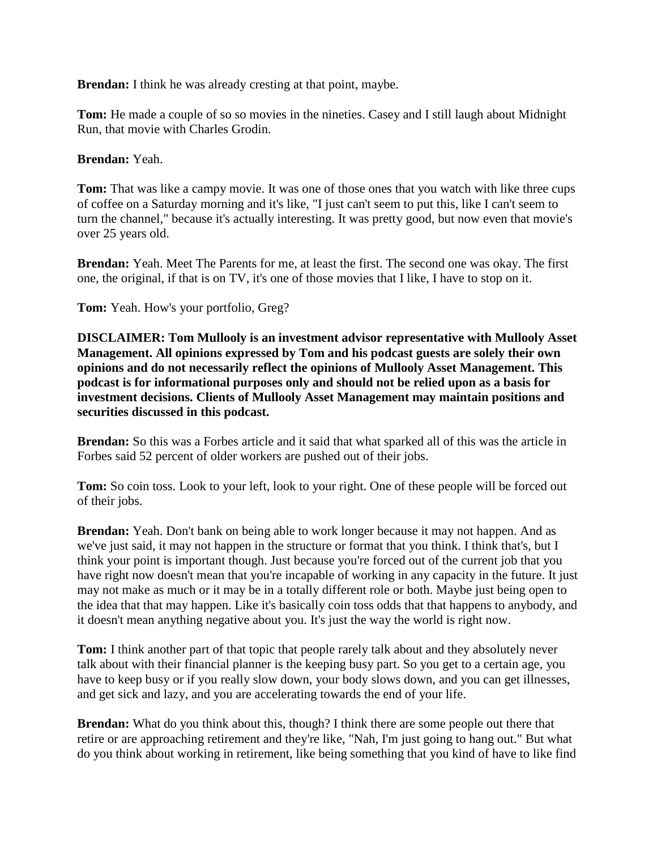**Brendan:** I think he was already cresting at that point, maybe.

**Tom:** He made a couple of so so movies in the nineties. Casey and I still laugh about Midnight Run, that movie with Charles Grodin.

## **Brendan:** Yeah.

**Tom:** That was like a campy movie. It was one of those ones that you watch with like three cups of coffee on a Saturday morning and it's like, "I just can't seem to put this, like I can't seem to turn the channel," because it's actually interesting. It was pretty good, but now even that movie's over 25 years old.

**Brendan:** Yeah. Meet The Parents for me, at least the first. The second one was okay. The first one, the original, if that is on TV, it's one of those movies that I like, I have to stop on it.

**Tom:** Yeah. How's your portfolio, Greg?

**DISCLAIMER: Tom Mullooly is an investment advisor representative with Mullooly Asset Management. All opinions expressed by Tom and his podcast guests are solely their own opinions and do not necessarily reflect the opinions of Mullooly Asset Management. This podcast is for informational purposes only and should not be relied upon as a basis for investment decisions. Clients of Mullooly Asset Management may maintain positions and securities discussed in this podcast.**

**Brendan:** So this was a Forbes article and it said that what sparked all of this was the article in Forbes said 52 percent of older workers are pushed out of their jobs.

**Tom:** So coin toss. Look to your left, look to your right. One of these people will be forced out of their jobs.

**Brendan:** Yeah. Don't bank on being able to work longer because it may not happen. And as we've just said, it may not happen in the structure or format that you think. I think that's, but I think your point is important though. Just because you're forced out of the current job that you have right now doesn't mean that you're incapable of working in any capacity in the future. It just may not make as much or it may be in a totally different role or both. Maybe just being open to the idea that that may happen. Like it's basically coin toss odds that that happens to anybody, and it doesn't mean anything negative about you. It's just the way the world is right now.

**Tom:** I think another part of that topic that people rarely talk about and they absolutely never talk about with their financial planner is the keeping busy part. So you get to a certain age, you have to keep busy or if you really slow down, your body slows down, and you can get illnesses, and get sick and lazy, and you are accelerating towards the end of your life.

**Brendan:** What do you think about this, though? I think there are some people out there that retire or are approaching retirement and they're like, "Nah, I'm just going to hang out." But what do you think about working in retirement, like being something that you kind of have to like find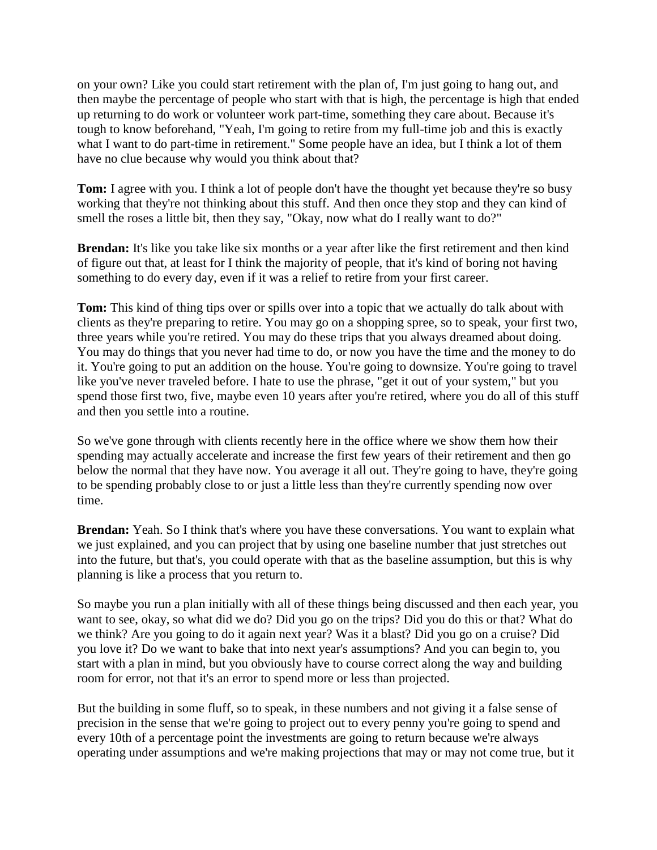on your own? Like you could start retirement with the plan of, I'm just going to hang out, and then maybe the percentage of people who start with that is high, the percentage is high that ended up returning to do work or volunteer work part-time, something they care about. Because it's tough to know beforehand, "Yeah, I'm going to retire from my full-time job and this is exactly what I want to do part-time in retirement." Some people have an idea, but I think a lot of them have no clue because why would you think about that?

**Tom:** I agree with you. I think a lot of people don't have the thought yet because they're so busy working that they're not thinking about this stuff. And then once they stop and they can kind of smell the roses a little bit, then they say, "Okay, now what do I really want to do?"

**Brendan:** It's like you take like six months or a year after like the first retirement and then kind of figure out that, at least for I think the majority of people, that it's kind of boring not having something to do every day, even if it was a relief to retire from your first career.

**Tom:** This kind of thing tips over or spills over into a topic that we actually do talk about with clients as they're preparing to retire. You may go on a shopping spree, so to speak, your first two, three years while you're retired. You may do these trips that you always dreamed about doing. You may do things that you never had time to do, or now you have the time and the money to do it. You're going to put an addition on the house. You're going to downsize. You're going to travel like you've never traveled before. I hate to use the phrase, "get it out of your system," but you spend those first two, five, maybe even 10 years after you're retired, where you do all of this stuff and then you settle into a routine.

So we've gone through with clients recently here in the office where we show them how their spending may actually accelerate and increase the first few years of their retirement and then go below the normal that they have now. You average it all out. They're going to have, they're going to be spending probably close to or just a little less than they're currently spending now over time.

**Brendan:** Yeah. So I think that's where you have these conversations. You want to explain what we just explained, and you can project that by using one baseline number that just stretches out into the future, but that's, you could operate with that as the baseline assumption, but this is why planning is like a process that you return to.

So maybe you run a plan initially with all of these things being discussed and then each year, you want to see, okay, so what did we do? Did you go on the trips? Did you do this or that? What do we think? Are you going to do it again next year? Was it a blast? Did you go on a cruise? Did you love it? Do we want to bake that into next year's assumptions? And you can begin to, you start with a plan in mind, but you obviously have to course correct along the way and building room for error, not that it's an error to spend more or less than projected.

But the building in some fluff, so to speak, in these numbers and not giving it a false sense of precision in the sense that we're going to project out to every penny you're going to spend and every 10th of a percentage point the investments are going to return because we're always operating under assumptions and we're making projections that may or may not come true, but it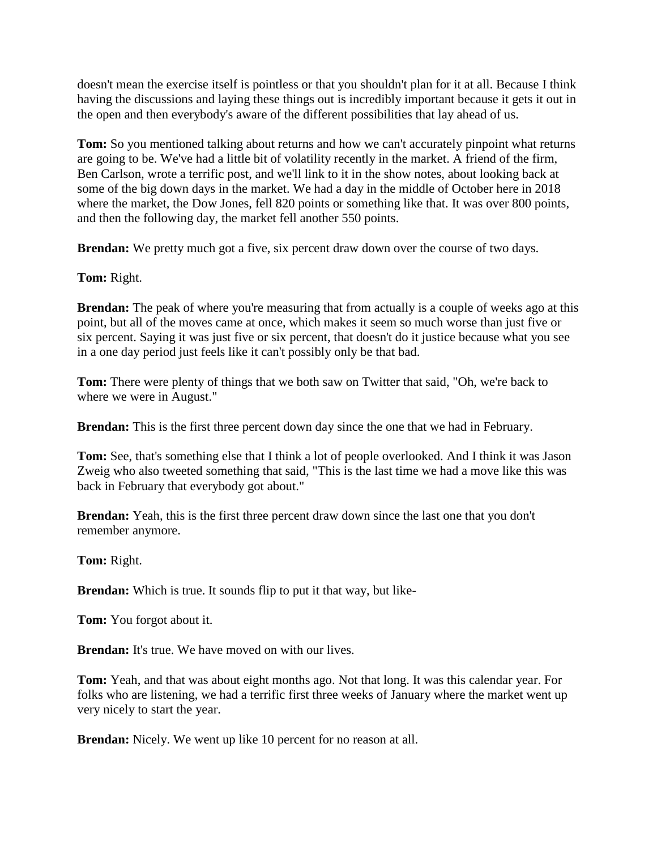doesn't mean the exercise itself is pointless or that you shouldn't plan for it at all. Because I think having the discussions and laying these things out is incredibly important because it gets it out in the open and then everybody's aware of the different possibilities that lay ahead of us.

**Tom:** So you mentioned talking about returns and how we can't accurately pinpoint what returns are going to be. We've had a little bit of volatility recently in the market. A friend of the firm, Ben Carlson, wrote a terrific post, and we'll link to it in the show notes, about looking back at some of the big down days in the market. We had a day in the middle of October here in 2018 where the market, the Dow Jones, fell 820 points or something like that. It was over 800 points, and then the following day, the market fell another 550 points.

**Brendan:** We pretty much got a five, six percent draw down over the course of two days.

**Tom:** Right.

**Brendan:** The peak of where you're measuring that from actually is a couple of weeks ago at this point, but all of the moves came at once, which makes it seem so much worse than just five or six percent. Saying it was just five or six percent, that doesn't do it justice because what you see in a one day period just feels like it can't possibly only be that bad.

**Tom:** There were plenty of things that we both saw on Twitter that said, "Oh, we're back to where we were in August."

**Brendan:** This is the first three percent down day since the one that we had in February.

**Tom:** See, that's something else that I think a lot of people overlooked. And I think it was Jason Zweig who also tweeted something that said, "This is the last time we had a move like this was back in February that everybody got about."

**Brendan:** Yeah, this is the first three percent draw down since the last one that you don't remember anymore.

**Tom:** Right.

**Brendan:** Which is true. It sounds flip to put it that way, but like-

**Tom:** You forgot about it.

**Brendan:** It's true. We have moved on with our lives.

**Tom:** Yeah, and that was about eight months ago. Not that long. It was this calendar year. For folks who are listening, we had a terrific first three weeks of January where the market went up very nicely to start the year.

**Brendan:** Nicely. We went up like 10 percent for no reason at all.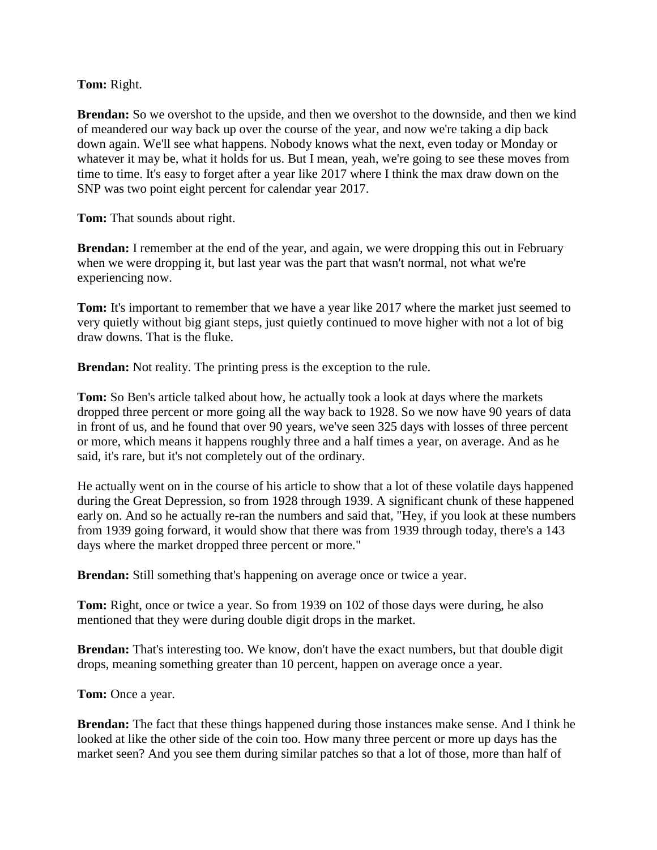**Tom:** Right.

**Brendan:** So we overshot to the upside, and then we overshot to the downside, and then we kind of meandered our way back up over the course of the year, and now we're taking a dip back down again. We'll see what happens. Nobody knows what the next, even today or Monday or whatever it may be, what it holds for us. But I mean, yeah, we're going to see these moves from time to time. It's easy to forget after a year like 2017 where I think the max draw down on the SNP was two point eight percent for calendar year 2017.

**Tom:** That sounds about right.

**Brendan:** I remember at the end of the year, and again, we were dropping this out in February when we were dropping it, but last year was the part that wasn't normal, not what we're experiencing now.

**Tom:** It's important to remember that we have a year like 2017 where the market just seemed to very quietly without big giant steps, just quietly continued to move higher with not a lot of big draw downs. That is the fluke.

**Brendan:** Not reality. The printing press is the exception to the rule.

**Tom:** So Ben's article talked about how, he actually took a look at days where the markets dropped three percent or more going all the way back to 1928. So we now have 90 years of data in front of us, and he found that over 90 years, we've seen 325 days with losses of three percent or more, which means it happens roughly three and a half times a year, on average. And as he said, it's rare, but it's not completely out of the ordinary.

He actually went on in the course of his article to show that a lot of these volatile days happened during the Great Depression, so from 1928 through 1939. A significant chunk of these happened early on. And so he actually re-ran the numbers and said that, "Hey, if you look at these numbers from 1939 going forward, it would show that there was from 1939 through today, there's a 143 days where the market dropped three percent or more."

**Brendan:** Still something that's happening on average once or twice a year.

**Tom:** Right, once or twice a year. So from 1939 on 102 of those days were during, he also mentioned that they were during double digit drops in the market.

**Brendan:** That's interesting too. We know, don't have the exact numbers, but that double digit drops, meaning something greater than 10 percent, happen on average once a year.

**Tom:** Once a year.

**Brendan:** The fact that these things happened during those instances make sense. And I think he looked at like the other side of the coin too. How many three percent or more up days has the market seen? And you see them during similar patches so that a lot of those, more than half of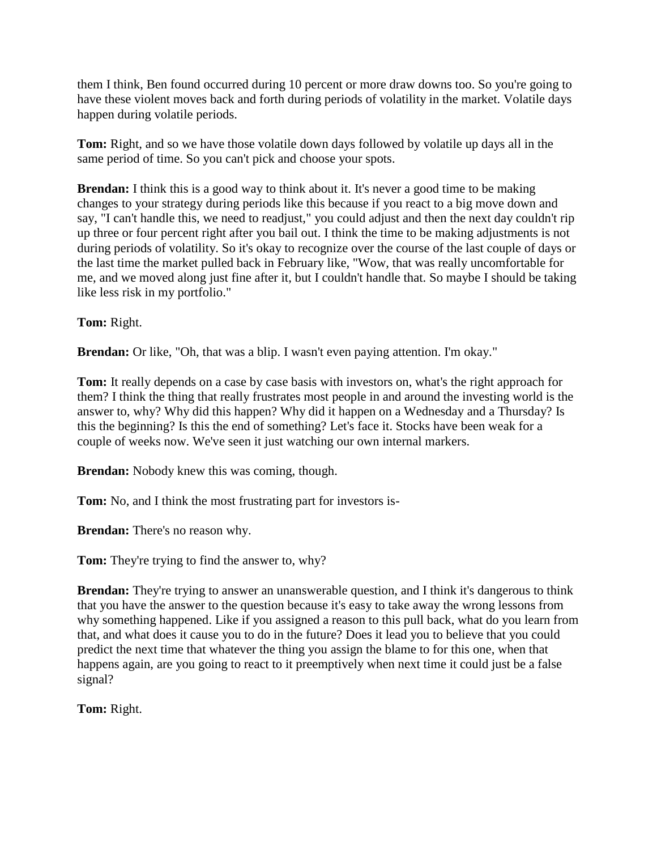them I think, Ben found occurred during 10 percent or more draw downs too. So you're going to have these violent moves back and forth during periods of volatility in the market. Volatile days happen during volatile periods.

**Tom:** Right, and so we have those volatile down days followed by volatile up days all in the same period of time. So you can't pick and choose your spots.

**Brendan:** I think this is a good way to think about it. It's never a good time to be making changes to your strategy during periods like this because if you react to a big move down and say, "I can't handle this, we need to readjust," you could adjust and then the next day couldn't rip up three or four percent right after you bail out. I think the time to be making adjustments is not during periods of volatility. So it's okay to recognize over the course of the last couple of days or the last time the market pulled back in February like, "Wow, that was really uncomfortable for me, and we moved along just fine after it, but I couldn't handle that. So maybe I should be taking like less risk in my portfolio."

**Tom:** Right.

**Brendan:** Or like, "Oh, that was a blip. I wasn't even paying attention. I'm okay."

**Tom:** It really depends on a case by case basis with investors on, what's the right approach for them? I think the thing that really frustrates most people in and around the investing world is the answer to, why? Why did this happen? Why did it happen on a Wednesday and a Thursday? Is this the beginning? Is this the end of something? Let's face it. Stocks have been weak for a couple of weeks now. We've seen it just watching our own internal markers.

**Brendan:** Nobody knew this was coming, though.

**Tom:** No, and I think the most frustrating part for investors is-

**Brendan:** There's no reason why.

**Tom:** They're trying to find the answer to, why?

**Brendan:** They're trying to answer an unanswerable question, and I think it's dangerous to think that you have the answer to the question because it's easy to take away the wrong lessons from why something happened. Like if you assigned a reason to this pull back, what do you learn from that, and what does it cause you to do in the future? Does it lead you to believe that you could predict the next time that whatever the thing you assign the blame to for this one, when that happens again, are you going to react to it preemptively when next time it could just be a false signal?

**Tom:** Right.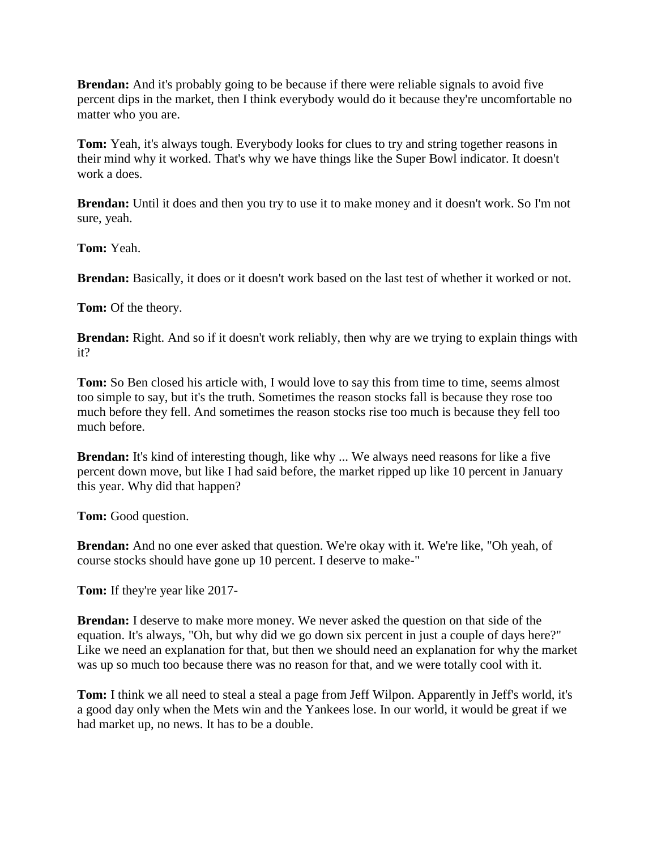**Brendan:** And it's probably going to be because if there were reliable signals to avoid five percent dips in the market, then I think everybody would do it because they're uncomfortable no matter who you are.

**Tom:** Yeah, it's always tough. Everybody looks for clues to try and string together reasons in their mind why it worked. That's why we have things like the Super Bowl indicator. It doesn't work a does.

**Brendan:** Until it does and then you try to use it to make money and it doesn't work. So I'm not sure, yeah.

**Tom:** Yeah.

**Brendan:** Basically, it does or it doesn't work based on the last test of whether it worked or not.

**Tom:** Of the theory.

**Brendan:** Right. And so if it doesn't work reliably, then why are we trying to explain things with it?

**Tom:** So Ben closed his article with, I would love to say this from time to time, seems almost too simple to say, but it's the truth. Sometimes the reason stocks fall is because they rose too much before they fell. And sometimes the reason stocks rise too much is because they fell too much before.

**Brendan:** It's kind of interesting though, like why ... We always need reasons for like a five percent down move, but like I had said before, the market ripped up like 10 percent in January this year. Why did that happen?

**Tom:** Good question.

**Brendan:** And no one ever asked that question. We're okay with it. We're like, "Oh yeah, of course stocks should have gone up 10 percent. I deserve to make-"

**Tom:** If they're year like 2017-

**Brendan:** I deserve to make more money. We never asked the question on that side of the equation. It's always, "Oh, but why did we go down six percent in just a couple of days here?" Like we need an explanation for that, but then we should need an explanation for why the market was up so much too because there was no reason for that, and we were totally cool with it.

**Tom:** I think we all need to steal a steal a page from Jeff Wilpon. Apparently in Jeff's world, it's a good day only when the Mets win and the Yankees lose. In our world, it would be great if we had market up, no news. It has to be a double.